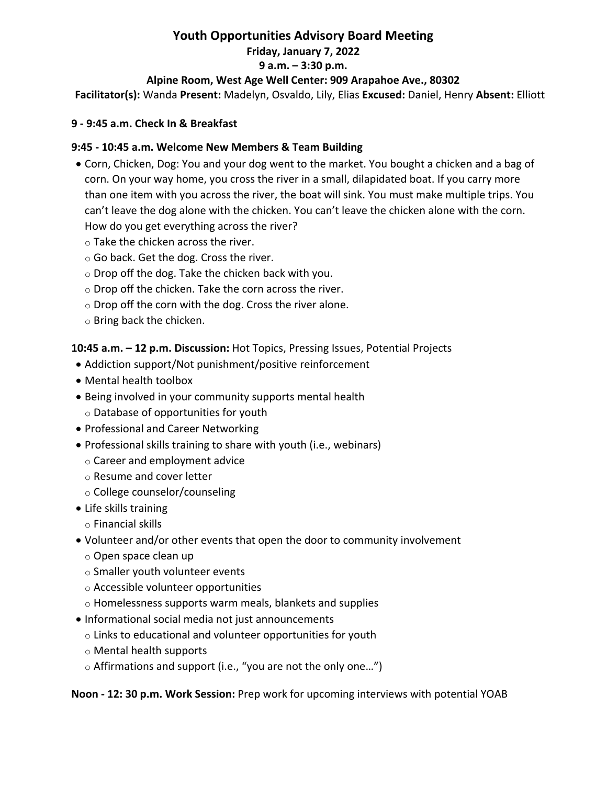# **Youth Opportunities Advisory Board Meeting Friday, January 7, 2022 9 a.m. – 3:30 p.m. Alpine Room, West Age Well Center: 909 Arapahoe Ave., 80302**

**Facilitator(s):** Wanda **Present:** Madelyn, Osvaldo, Lily, Elias **Excused:** Daniel, Henry **Absent:** Elliott

#### **9 ‐ 9:45 a.m. Check In & Breakfast**

#### **9:45 ‐ 10:45 a.m. Welcome New Members & Team Building**

- Corn, Chicken, Dog: You and your dog went to the market. You bought a chicken and a bag of corn. On your way home, you cross the river in a small, dilapidated boat. If you carry more than one item with you across the river, the boat will sink. You must make multiple trips. You can't leave the dog alone with the chicken. You can't leave the chicken alone with the corn. How do you get everything across the river?
	- o Take the chicken across the river.
	- o Go back. Get the dog. Cross the river.
	- o Drop off the dog. Take the chicken back with you.
	- o Drop off the chicken. Take the corn across the river.
	- $\circ$  Drop off the corn with the dog. Cross the river alone.
	- o Bring back the chicken.

**10:45 a.m. – 12 p.m. Discussion:** Hot Topics, Pressing Issues, Potential Projects

- Addiction support/Not punishment/positive reinforcement
- Mental health toolbox
- Being involved in your community supports mental health
	- o Database of opportunities for youth
- Professional and Career Networking
- Professional skills training to share with youth (i.e., webinars)
	- o Career and employment advice
	- o Resume and cover letter
	- o College counselor/counseling
- Life skills training
	- o Financial skills
- Volunteer and/or other events that open the door to community involvement
	- o Open space clean up
	- o Smaller youth volunteer events
	- o Accessible volunteer opportunities
	- o Homelessness supports warm meals, blankets and supplies
- Informational social media not just announcements
	- o Links to educational and volunteer opportunities for youth
	- o Mental health supports
	- $\circ$  Affirmations and support (i.e., "you are not the only one...")

**Noon ‐ 12: 30 p.m. Work Session:** Prep work for upcoming interviews with potential YOAB